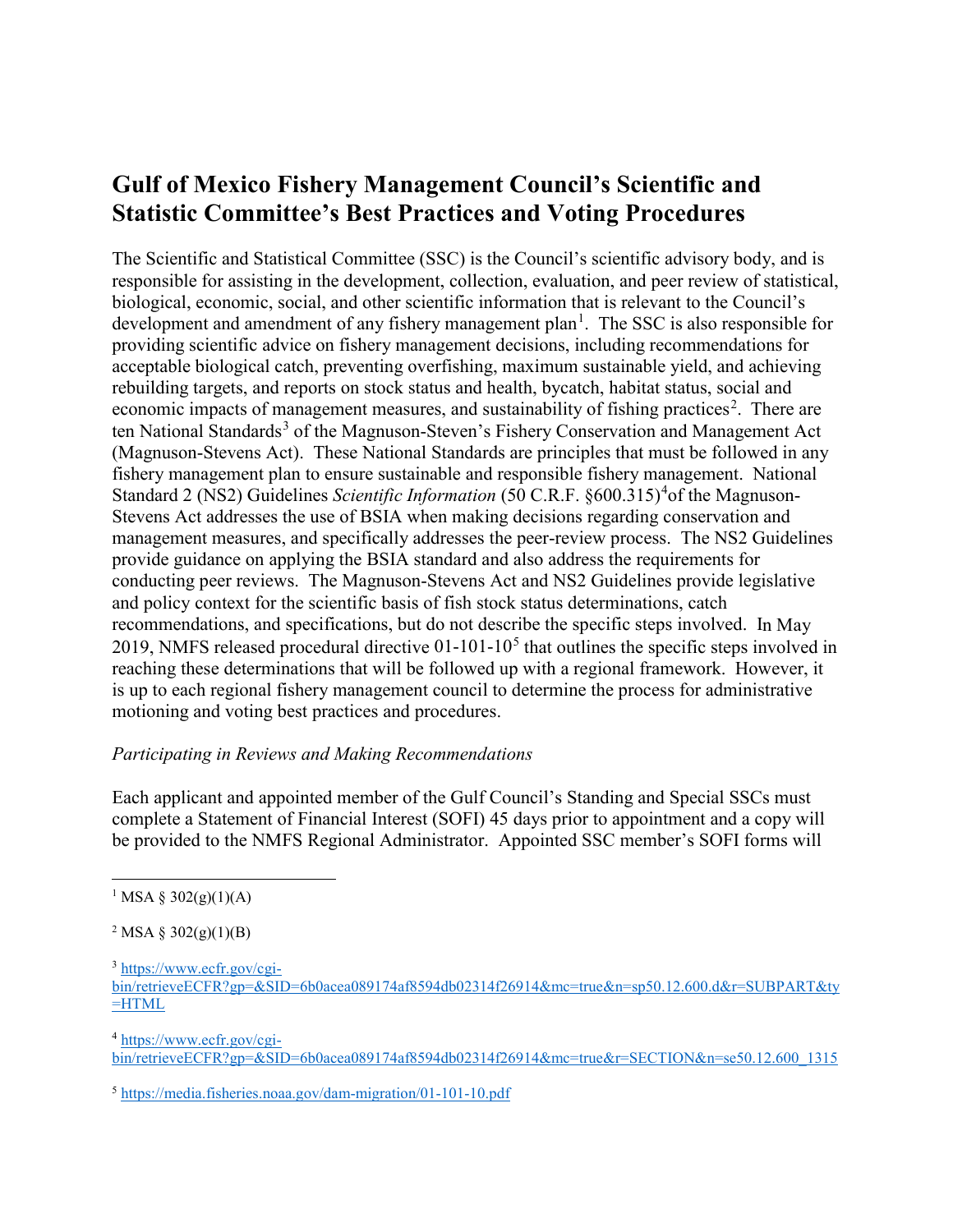## **Gulf of Mexico Fishery Management Council's Scientific and Statistic Committee's Best Practices and Voting Procedures**

The Scientific and Statistical Committee (SSC) is the Council's scientific advisory body, and is responsible for assisting in the development, collection, evaluation, and peer review of statistical, biological, economic, social, and other scientific information that is relevant to the Council's development and amendment of any fishery management plan<sup>[1](#page-0-0)</sup>. The SSC is also responsible for providing scientific advice on fishery management decisions, including recommendations for acceptable biological catch, preventing overfishing, maximum sustainable yield, and achieving rebuilding targets, and reports on stock status and health, bycatch, habitat status, social and economic impacts of management measures, and sustainability of fishing practices<sup>[2](#page-0-1)</sup>. There are ten National Standards<sup>[3](#page-0-2)</sup> of the Magnuson-Steven's Fishery Conservation and Management Act (Magnuson-Stevens Act). These National Standards are principles that must be followed in any fishery management plan to ensure sustainable and responsible fishery management. National Standard 2 (NS2) Guidelines *Scientific Information* (50 C.R.F. §600.315)<sup>[4](#page-0-3)</sup> of the Magnuson-Stevens Act addresses the use of BSIA when making decisions regarding conservation and management measures, and specifically addresses the peer-review process. The NS2 Guidelines provide guidance on applying the BSIA standard and also address the requirements for conducting peer reviews. The Magnuson-Stevens Act and NS2 Guidelines provide legislative and policy context for the scientific basis of fish stock status determinations, catch recommendations, and specifications, but do not describe the specific steps involved. In May 2019, NMFS released procedural directive  $01-101-10<sup>5</sup>$  $01-101-10<sup>5</sup>$  $01-101-10<sup>5</sup>$  that outlines the specific steps involved in reaching these determinations that will be followed up with a regional framework. However, it is up to each regional fishery management council to determine the process for administrative motioning and voting best practices and procedures.

## *Participating in Reviews and Making Recommendations*

Each applicant and appointed member of the Gulf Council's Standing and Special SSCs must complete a Statement of Financial Interest (SOFI) 45 days prior to appointment and a copy will be provided to the NMFS Regional Administrator. Appointed SSC member's SOFI forms will

<span id="page-0-2"></span><sup>3</sup> [https://www.ecfr.gov/cgi-](https://www.ecfr.gov/cgi-bin/retrieveECFR?gp=&SID=6b0acea089174af8594db02314f26914&mc=true&n=sp50.12.600.d&r=SUBPART&ty=HTML)

<span id="page-0-3"></span><sup>4</sup> [https://www.ecfr.gov/cgi-](https://www.ecfr.gov/cgi-bin/retrieveECFR?gp=&SID=6b0acea089174af8594db02314f26914&mc=true&r=SECTION&n=se50.12.600_1315)

[bin/retrieveECFR?gp=&SID=6b0acea089174af8594db02314f26914&mc=true&r=SECTION&n=se50.12.600\\_1315](https://www.ecfr.gov/cgi-bin/retrieveECFR?gp=&SID=6b0acea089174af8594db02314f26914&mc=true&r=SECTION&n=se50.12.600_1315)

<span id="page-0-4"></span><sup>5</sup> <https://media.fisheries.noaa.gov/dam-migration/01-101-10.pdf>

<span id="page-0-0"></span><sup>&</sup>lt;sup>1</sup> MSA § 302(g)(1)(A)

<span id="page-0-1"></span><sup>&</sup>lt;sup>2</sup> MSA § 302(g)(1)(B)

[bin/retrieveECFR?gp=&SID=6b0acea089174af8594db02314f26914&mc=true&n=sp50.12.600.d&r=SUBPART&ty](https://www.ecfr.gov/cgi-bin/retrieveECFR?gp=&SID=6b0acea089174af8594db02314f26914&mc=true&n=sp50.12.600.d&r=SUBPART&ty=HTML)  $=$ HTML